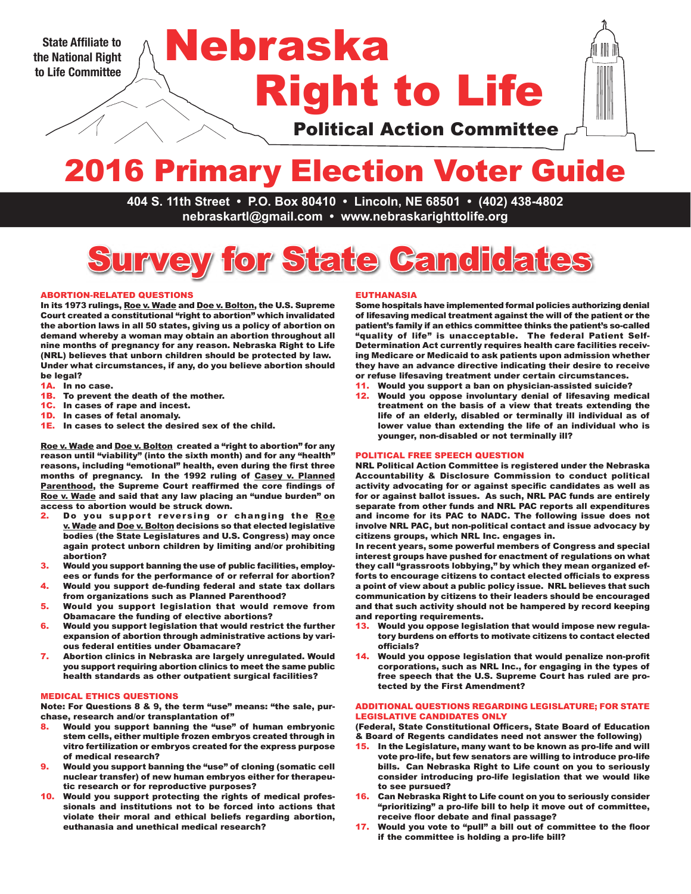**the National Right to Life Committee**

# Right to Life State Affiliate to **Nebraska**

Political Action Committee

# 2016 Primary Election Voter Guide

**404 S. 11th Street • P.O. Box 80410 • Lincoln, NE 68501 • (402) 438-4802 nebraskartl@gmail.com • www.nebraskarighttolife.org**

# Survey for State Candidates

#### ABORTION-RELATED QUESTIONS

In its 1973 rulings, Roe v. Wade and Doe v. Bolton, the U.S. Supreme Court created a constitutional "right to abortion" which invalidated the abortion laws in all 50 states, giving us a policy of abortion on demand whereby a woman may obtain an abortion throughout all nine months of pregnancy for any reason. Nebraska Right to Life (NRL) believes that unborn children should be protected by law. Under what circumstances, if any, do you believe abortion should be legal?

- 1A. In no case.
- 1B. To prevent the death of the mother.
- 1C. In cases of rape and incest.
- 1D. In cases of fetal anomaly.
- 1E. In cases to select the desired sex of the child.

Roe v. Wade and Doe v. Bolton created a "right to abortion" for any reason until "viability" (into the sixth month) and for any "health" reasons, including "emotional" health, even during the first three months of pregnancy. In the 1992 ruling of Casey v. Planned Parenthood, the Supreme Court reaffirmed the core findings of Roe v. Wade and said that any law placing an "undue burden" on access to abortion would be struck down.

- 2. Do you support reversing or changing the Roe v. Wade and Doe v. Bolton decisions so that elected legislative bodies (the State Legislatures and U.S. Congress) may once again protect unborn children by limiting and/or prohibiting abortion?
- 3. Would you support banning the use of public facilities, employees or funds for the performance of or referral for abortion?
- 4. Would you support de-funding federal and state tax dollars from organizations such as Planned Parenthood?
- 5. Would you support legislation that would remove from Obamacare the funding of elective abortions?
- 6. Would you support legislation that would restrict the further expansion of abortion through administrative actions by various federal entities under Obamacare?
- 7. Abortion clinics in Nebraska are largely unregulated. Would you support requiring abortion clinics to meet the same public health standards as other outpatient surgical facilities?

#### MEDICAL ETHICS QUESTIONS

Note: For Questions 8 & 9, the term "use" means: "the sale, purchase, research and/or transplantation of"

- Would you support banning the "use" of human embryonic stem cells, either multiple frozen embryos created through in vitro fertilization or embryos created for the express purpose of medical research?
- Would you support banning the "use" of cloning (somatic cell nuclear transfer) of new human embryos either for therapeutic research or for reproductive purposes?
- 10. Would you support protecting the rights of medical professionals and institutions not to be forced into actions that violate their moral and ethical beliefs regarding abortion, euthanasia and unethical medical research?

#### EUTHANASIA

Some hospitals have implemented formal policies authorizing denial of lifesaving medical treatment against the will of the patient or the patient's family if an ethics committee thinks the patient's so-called "quality of life" is unacceptable. The federal Patient Self-Determination Act currently requires health care facilities receiving Medicare or Medicaid to ask patients upon admission whether they have an advance directive indicating their desire to receive or refuse lifesaving treatment under certain circumstances.

- 11. Would you support a ban on physician-assisted suicide?
- 12. Would you oppose involuntary denial of lifesaving medical treatment on the basis of a view that treats extending the life of an elderly, disabled or terminally ill individual as of lower value than extending the life of an individual who is younger, non-disabled or not terminally ill?

#### POLITICAL FREE SPEECH QUESTION

NRL Political Action Committee is registered under the Nebraska Accountability & Disclosure Commission to conduct political activity advocating for or against specific candidates as well as for or against ballot issues. As such, NRL PAC funds are entirely separate from other funds and NRL PAC reports all expenditures and income for its PAC to NADC. The following issue does not involve NRL PAC, but non-political contact and issue advocacy by citizens groups, which NRL Inc. engages in.

In recent years, some powerful members of Congress and special interest groups have pushed for enactment of regulations on what they call "grassroots lobbying," by which they mean organized efforts to encourage citizens to contact elected officials to express a point of view about a public policy issue. NRL believes that such communication by citizens to their leaders should be encouraged and that such activity should not be hampered by record keeping and reporting requirements.

- 13. Would you oppose legislation that would impose new regulatory burdens on efforts to motivate citizens to contact elected officials?
- 14. Would you oppose legislation that would penalize non-profit corporations, such as NRL Inc., for engaging in the types of free speech that the U.S. Supreme Court has ruled are protected by the First Amendment?

#### ADDITIONAL QUESTIONS REGARDING LEGISLATURE; FOR STATE LEGISLATIVE CANDIDATES ONLY

(Federal, State Constitutional Officers, State Board of Education & Board of Regents candidates need not answer the following)

- 15. In the Legislature, many want to be known as pro-life and will vote pro-life, but few senators are willing to introduce pro-life bills. Can Nebraska Right to Life count on you to seriously consider introducing pro-life legislation that we would like to see pursued?
- 16. Can Nebraska Right to Life count on you to seriously consider "prioritizing" a pro-life bill to help it move out of committee, receive floor debate and final passage?
- 17. Would you vote to "pull" a bill out of committee to the floor if the committee is holding a pro-life bill?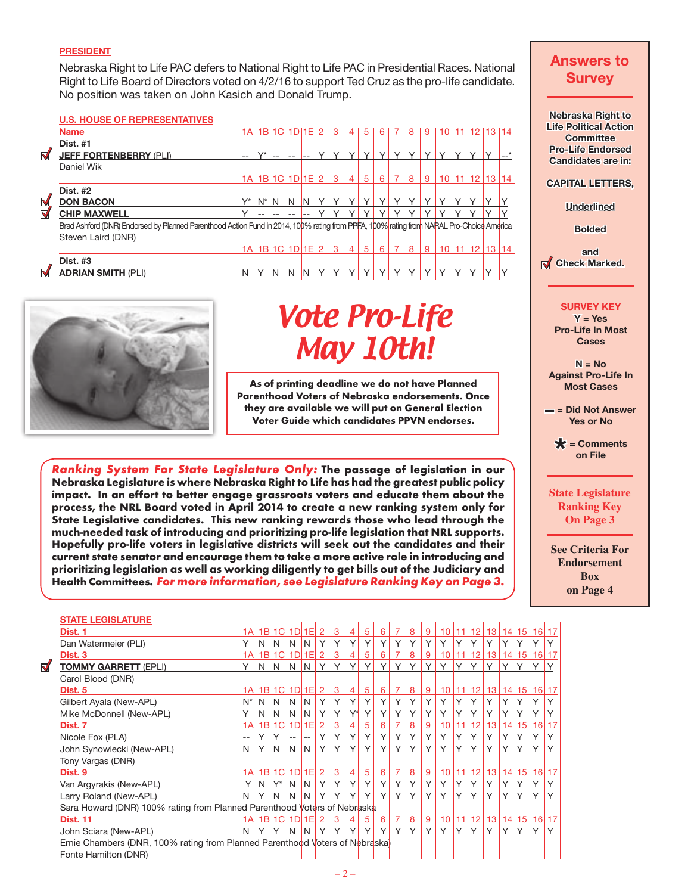### **PRESIDENT**

Nebraska Right to Life PAC defers to National Right to Life PAC in Presidential Races. National Right to Life Board of Directors voted on 4/2/16 to support Ted Cruz as the pro-life candidate. No position was taken on John Kasich and Donald Trump.

#### **U.S. HOUSE OF REPRESENTATIVES**

| <b>Name</b>               |                               |           |                         |         |   |        |              |                                               | -5                                            | 6                             |              | 8            | 9            |              |  |          |                                                                                                                                                                                                | ш  |
|---------------------------|-------------------------------|-----------|-------------------------|---------|---|--------|--------------|-----------------------------------------------|-----------------------------------------------|-------------------------------|--------------|--------------|--------------|--------------|--|----------|------------------------------------------------------------------------------------------------------------------------------------------------------------------------------------------------|----|
| <b>Dist. #1</b>           |                               | $\sqrt{}$ |                         |         |   |        |              |                                               |                                               |                               |              |              |              |              |  |          |                                                                                                                                                                                                | P  |
| Daniel Wik                |                               |           |                         |         |   |        |              |                                               |                                               |                               |              |              |              |              |  |          |                                                                                                                                                                                                | C  |
|                           |                               |           |                         |         |   |        | -3           |                                               | 5                                             | 6                             |              | 8            | 9            |              |  | 14       |                                                                                                                                                                                                | C/ |
| <b>Dist. #2</b>           |                               |           |                         |         |   |        |              |                                               |                                               |                               |              |              |              |              |  |          |                                                                                                                                                                                                |    |
| <b>DON BACON</b>          | $V^*$                         |           | N                       | N       | N | $\vee$ | $\checkmark$ | $\checkmark$                                  |                                               | $\vee$                        | $\checkmark$ |              | $\checkmark$ |              |  |          |                                                                                                                                                                                                |    |
| <b>CHIP MAXWELL</b>       |                               |           |                         |         |   |        |              |                                               |                                               |                               |              |              | v            |              |  |          |                                                                                                                                                                                                |    |
|                           |                               |           |                         |         |   |        |              |                                               |                                               |                               |              |              |              |              |  |          |                                                                                                                                                                                                |    |
| Steven Laird (DNR)        |                               |           |                         |         |   |        |              |                                               |                                               |                               |              |              |              |              |  |          |                                                                                                                                                                                                |    |
|                           |                               |           |                         |         |   |        |              |                                               | 5                                             | 6                             |              | 8            | -9           |              |  |          |                                                                                                                                                                                                |    |
| <b>Dist. #3</b>           |                               |           |                         |         |   |        |              |                                               |                                               |                               |              |              |              |              |  |          |                                                                                                                                                                                                | M  |
| <b>ADRIAN SMITH (PLI)</b> | ΙN                            |           | N                       | N       | N |        | $\checkmark$ | $\checkmark$                                  | $\checkmark$                                  | $\checkmark$                  |              |              | $\checkmark$ |              |  |          |                                                                                                                                                                                                |    |
|                           | <b>JEFF FORTENBERRY (PLI)</b> | --        | 1A <sub>1</sub><br>1A l | $ N^* $ |   |        | $\vee$       | $\vee$<br>1B 1C 1D 1E 2<br> 1B  1C  1D  1E  2 | 1A   1B  1C  1D  1E  2   3  <br>$\vee$<br>131 | 4 <br>$\checkmark$<br>4 <br>4 | $\vee$       | $\checkmark$ |              | $\checkmark$ |  | 10 11 12 | 10 11 12 13 14<br>13 <sup>1</sup><br>Brad Ashford (DNR) Endorsed by Planned Parenthood Action Fund in 2014, 100% rating from PPFA, 100% rating from NARAL Pro-Choice America<br>10 11 12 13 14 |    |



**STATE LEGISLATURE**

 $\blacktriangledown$ 

# Vote Pro-Life May 10th!

As of printing deadline we do not have Planned Parenthood Voters of Nebraska endorsements. Once they are available we will put on General Election Voter Guide which candidates PPVN endorses.

Ranking System For State Legislature Only: The passage of legislation in our Nebraska Legislature is where Nebraska Right to Life has had the greatest public policy impact. In an effort to better engage grassroots voters and educate them about the process, the NRL Board voted in April 2014 to create a new ranking system only for State Legislative candidates. This new ranking rewards those who lead through the much-needed task of introducing and prioritizing pro-life legislation that NRL supports. Hopefully pro-life voters in legislative districts will seek out the candidates and their current state senator and encourage them to take a more active role in introducing and prioritizing legislation as well as working diligently to get bills out of the Judiciary and Health Committees. For more information, see Legislature Ranking Key on Page 3.

# **Answers to Survey Nebraska Right to Life Political Action Committee Pro-Life Endorsed Candidates are in: CAPITAL LETTERS, Underlined Bolded and Check Marked. SURVEY KEY Y = Yes Pro-Life In Most Cases N = No Against Pro-Life In Most Cases**

**– = Did Not Answer Yes or No** 

**\* = Comments on File**

## **State Legislature Ranking Key On Page 3**

**See Criteria For Endorsement Box on Page 4**

| Dist. 1                                                                      | 1AI   |    | 1B 1C          |                | 1D1E    | 2              | 3 | 4              | 5 | 6 | 7              | 8 | 9 | 10 <sup>1</sup> | 111          | 12 <sup>1</sup> | 13 <sup>°</sup> | 14           |    | 15   16   17      |   |
|------------------------------------------------------------------------------|-------|----|----------------|----------------|---------|----------------|---|----------------|---|---|----------------|---|---|-----------------|--------------|-----------------|-----------------|--------------|----|-------------------|---|
| Dan Watermeier (PLI)                                                         | Υ     | N  | N              | N              | N       | Υ              | Υ | Υ              | Υ |   | Υ              | Υ | Υ | Υ               | Υ            | Υ               |                 | ٧            | Υ  | Υ                 |   |
| Dist. <sub>3</sub>                                                           | 1А    | B  | 1Cl            | 1 <sub>D</sub> | F       |                | 3 | 4              | 5 | 6 |                | 8 | 9 |                 |              |                 | 13              | 14           | 15 | 16                |   |
| <b>TOMMY GARRETT (EPLI)</b>                                                  | Υ     | N  | N              | N              | IN.     | Y              | Y | Y              | Y | Y | Y              | Υ | Y | Y               | $\vee$       | Υ               | $\checkmark$    | Υ            | Υ  | Y                 |   |
| Carol Blood (DNR)                                                            |       |    |                |                |         |                |   |                |   |   |                |   |   |                 |              |                 |                 |              |    |                   |   |
| Dist. 5                                                                      | 1AI   |    | $1B$ $1C$      | 1D1E           |         | 2              | 3 | $\overline{4}$ | 5 | 6 | $\overline{7}$ | 8 | 9 | 10              |              | 11 12           | 13              |              |    | 14   15   16   17 |   |
| Gilbert Ayala (New-APL)                                                      | $N^*$ | N. | N              | N              | N       | Υ              | Υ | Y              | Y | Υ | Y              | Υ | Υ | Υ               | Y            | Y               | Υ               | Υ            | Υ  | Y                 |   |
| Mike McDonnell (New-APL)                                                     | Υ     | N  | N              | N              | N       | Υ              | Υ | Y*             | Υ |   | Υ              | Υ | Υ | Υ               |              | Υ               |                 | ٧            |    |                   |   |
| Dist. 7                                                                      | 1AI   | 1B | 1 <sup>C</sup> | 1 <sub>D</sub> | 1E      | 2              | 3 | 4              | 5 | 6 | 7              | 8 | 9 | 10              |              | 12              | 13              | 14           | 15 | 16 <sup>1</sup>   |   |
| Nicole Fox (PLA)                                                             | --    | Υ  | Υ              | $-$            | $-$     | Υ              | Υ | Y              | Y | Υ | Y              | Υ | Y | Υ               | Υ            | Υ               | Υ               | Υ            | Υ  | ٧                 |   |
| John Synowiecki (New-APL)                                                    | N     | Υ  | N              | N              | N       | Υ              | Y | Y              | Y | Υ | Y              | Y | Y | Υ               | Y            | Υ               | Y               | Y            | Υ  | $\checkmark$      | Y |
| Tony Vargas (DNR)                                                            |       |    |                |                |         |                |   |                |   |   |                |   |   |                 |              |                 |                 |              |    |                   |   |
| Dist. 9                                                                      | 1AI   |    | $1B$ $1C$      | $1D$ $1E$      |         | $\overline{2}$ | 3 | $\overline{4}$ | 5 | 6 | 7              | 8 | 9 | 10 <sup>1</sup> | 11           | 12 <sup>1</sup> | 13 <sup>°</sup> |              |    | 14 15 16 17       |   |
| Van Argyrakis (New-APL)                                                      | Υ     | N. | $Y^*$          | N              | N       | Υ              | Υ | Y              | Y |   | Υ              | Y | Υ | Υ               | Υ            | Υ               | Υ               | Υ            | Υ  | Υ                 |   |
| Larry Roland (New-APL)                                                       | N     | Υ  | N              | N              | N       | Υ              | Υ | Υ              | Υ |   | Y              | Y |   | ٧               | $\checkmark$ | Υ               |                 | $\checkmark$ |    | $\checkmark$      | Y |
| Sara Howard (DNR) 100% rating from Planned Parenthood Voters of Nebraska     |       |    |                |                |         |                |   |                |   |   |                |   |   |                 |              |                 |                 |              |    |                   |   |
| <b>Dist. 11</b>                                                              |       |    | 1A 1B 1C       |                | $1D$ 1E | $\overline{2}$ | 3 | 4              | 5 | 6 | 7              | 8 | 9 | 10 <sup>1</sup> | 11           | 12 <sup>1</sup> | 13 <sup>°</sup> |              |    | 14   15   16   17 |   |
| John Sciara (New-APL)                                                        | N     | Y  | Υ              | N              | N       | Υ              | Y | Y              | Y | Y | Y              | Υ | Υ | Y               | Y            | Υ               | Y               | Υ            | Υ  | Υ                 | Y |
| Ernie Chambers (DNR, 100% rating from Planned Parenthood Voters of Nebraska) |       |    |                |                |         |                |   |                |   |   |                |   |   |                 |              |                 |                 |              |    |                   |   |
| Fonte Hamilton (DNR)                                                         |       |    |                |                |         |                |   |                |   |   |                |   |   |                 |              |                 |                 |              |    |                   |   |
|                                                                              |       |    |                |                |         |                |   |                |   |   |                |   |   |                 |              |                 |                 |              |    |                   |   |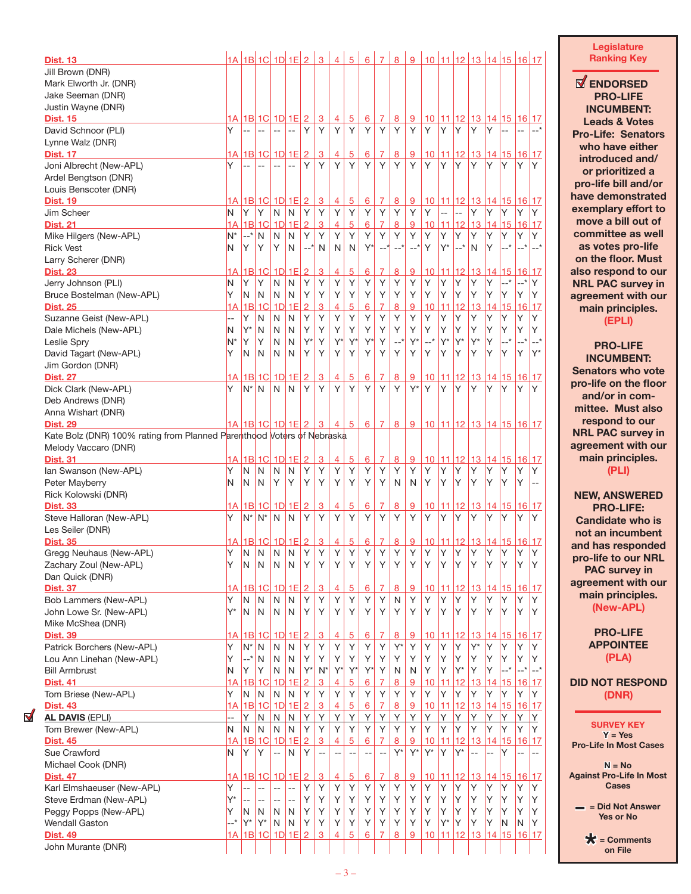| <b>Dist. 13</b>                                                        |         |                | 1A 1B 1C 1D 1E 2                    |                          |                |                     | $\overline{3}$ | $\overline{4}$ | $\overline{5}$      | $6\overline{6}$ | $\overline{7}$ | $\overline{8}$   | 9             |                         |                 |                | 10 11 12 13 14 15 16 17        |                 |                       |                 |                |
|------------------------------------------------------------------------|---------|----------------|-------------------------------------|--------------------------|----------------|---------------------|----------------|----------------|---------------------|-----------------|----------------|------------------|---------------|-------------------------|-----------------|----------------|--------------------------------|-----------------|-----------------------|-----------------|----------------|
| Jill Brown (DNR)                                                       |         |                |                                     |                          |                |                     |                |                |                     |                 |                |                  |               |                         |                 |                |                                |                 |                       |                 |                |
| Mark Elworth Jr. (DNR)                                                 |         |                |                                     |                          |                |                     |                |                |                     |                 |                |                  |               |                         |                 |                |                                |                 |                       |                 |                |
| Jake Seeman (DNR)                                                      |         |                |                                     |                          |                |                     |                |                |                     |                 |                |                  |               |                         |                 |                |                                |                 |                       |                 |                |
| Justin Wayne (DNR)                                                     |         |                |                                     |                          |                |                     |                |                |                     |                 |                |                  |               |                         |                 |                |                                |                 |                       |                 |                |
| <b>Dist. 15</b>                                                        |         |                | <u>1A   1B   1C   1D   1E   2  </u> |                          |                |                     | 3              | 4              | 5                   | 6               | 7              | 8                | 9             | 10                      |                 |                | 11 12 13 14 15 16 17           |                 |                       |                 |                |
| David Schnoor (PLI)                                                    | Y       | $\overline{a}$ | $\overline{\phantom{a}}$            | $\overline{\phantom{a}}$ | $\overline{a}$ | Υ                   | Υ              | Y              | Y                   | Y               | Y              | Y                | Υ             | Y.                      | Y               | Y              | Y.                             | Y               | --                    |                 |                |
| Lynne Walz (DNR)                                                       |         |                |                                     |                          |                |                     |                |                |                     |                 |                |                  |               |                         |                 |                |                                |                 |                       |                 |                |
| <b>Dist. 17</b>                                                        | 1A l    |                | 1B 1C 1D 1E 2                       |                          |                |                     | 3              | 4              | $\overline{5}$      | 6               | 7              | $\bf{8}$         | <u>9</u>      | 10                      |                 | 11 12          |                                |                 | <u>13 14 15 16 17</u> |                 |                |
| Joni Albrecht (New-APL)                                                | Υ       |                |                                     |                          |                | Υ                   | Υ              | Y              | Y                   | Υ               | Y              | Y                | Υ             | Y                       | Y               | Υ              | Υ                              | Y               | Y                     | Υ               | Y              |
| Ardel Bengtson (DNR)                                                   |         |                |                                     |                          |                |                     |                |                |                     |                 |                |                  |               |                         |                 |                |                                |                 |                       |                 |                |
| Louis Benscoter (DNR)                                                  |         |                |                                     |                          |                |                     |                |                |                     |                 |                |                  |               |                         |                 |                |                                |                 |                       |                 |                |
| <b>Dist. 19</b>                                                        | 1А      |                | $1B$ 1C $1D$ 1E $2$                 |                          |                |                     | $\mathbf{3}$   | $\overline{4}$ | $\overline{5}$      | 6               | 7              | 8                | <u>9</u>      | 10                      |                 | 11 12          |                                |                 | 13 14 15 16 17        |                 |                |
| Jim Scheer                                                             | N       | Y              | Υ                                   | N                        | N              | Y                   | Y              | Υ              | Y                   | Υ               | Y              | Y                | Υ             | Y                       | --              | $\overline{a}$ | Υ                              | Υ               | Υ                     | Υ               | Y              |
| <b>Dist. 21</b>                                                        | 1А      |                | $1B$ 1C                             | 1D                       | 1E             | $\overline{2}$      | 3              | 4              | 5                   | 6               | 7              | 8                | 9             | 10                      | 11              | 12             |                                | 13 14 15        |                       | 16 17           |                |
| Mike Hilgers (New-APL)                                                 | N*      | --*            | N                                   | N                        | N              | Υ                   | Υ              | Υ              | Υ                   | Υ               | Y              | Y                | Y             | Υ                       | Y               | Υ              | Υ                              | Y               | Y                     | Υ               | Y              |
| <b>Rick Vest</b>                                                       | N       | Υ              | Υ                                   | Y                        | N              | $--$ *              | N              | N              | N                   | $Y^*$           |                | --*              | $--$ *        | Y                       | $Y^*$           | __*            | N                              | Υ               | __*                   | __*             | $--$ *         |
| Larry Scherer (DNR)                                                    |         |                |                                     |                          |                |                     |                |                |                     |                 |                |                  |               |                         |                 |                |                                |                 |                       |                 |                |
| <b>Dist. 23</b>                                                        | 1А      |                | $1B$ 1C<br>Υ                        | 1 <sub>D</sub><br>N      | 1E<br>N        | $\overline{2}$<br>Υ | 3<br>Υ         | 4<br>Υ         | $\overline{5}$<br>Υ | 6<br>Υ          | 7<br>Υ         | 8<br>Υ           | 9<br>Υ        | 10 <sub>1</sub><br>Υ    | 11<br>Y         | 12<br>Υ        | Υ                              | Y               | 13 14 15<br>--*       | 16 17<br>$--$ * | IY.            |
| Jerry Johnson (PLI)<br>Bruce Bostelman (New-APL)                       | N<br>Υ  | Y<br>N         | N                                   | N                        | N              | Υ                   | Υ              | Υ              | Υ                   | Υ               | Y              | Y                | Υ             | Υ                       | Υ               | Υ              | Υ                              | Y               | Y                     | Υ               | Y              |
| <b>Dist. 25</b>                                                        | 1А      |                | 1B 1C                               | 1D                       | 1E             | $\overline{2}$      | 3              | 4              | 5                   | 6               | $\overline{7}$ | 8                | 9             | 10                      | 11              | 12             | 13                             | 14 15           |                       | 16 17           |                |
| Suzanne Geist (New-APL)                                                | --      | Y              | N                                   | N                        | N              | Υ                   | Υ              | Υ              | Υ                   | Υ               | Y              | Y                | Υ             | Υ                       | Υ               | Υ              | Υ                              | Υ               | Y                     | Y               | Y              |
| Dale Michels (New-APL)                                                 | N       | Y*             | N                                   | N                        | Ν              | Υ                   | Υ              | Υ              | Y                   | Υ               | Y              | Υ                | Y             | Υ                       | Y               | Υ              | Υ                              | Υ               | Υ                     | Υ               | Y              |
| Leslie Spry                                                            | N*      | Υ              | Υ                                   | N                        | N              | $Y^*$               | Υ              | Y*             | Y                   | $Y^*$           | Y              | $--$ *           | $Y^*$         | $--$ *                  | $Y^*$           | $Y^*$          | $Y^*$                          | Υ               | __*                   | $--$ *          | $--$ *         |
| David Tagart (New-APL)                                                 | Y       | N              | N                                   | N                        | N              | Υ                   | Υ              | Υ              | Υ                   | Υ               | Y              | Y                | Y             | Υ                       | Υ               | Υ              | Υ                              | Υ               | Υ                     | Υ               | Y*             |
| Jim Gordon (DNR)                                                       |         |                |                                     |                          |                |                     |                |                |                     |                 |                |                  |               |                         |                 |                |                                |                 |                       |                 |                |
| <b>Dist. 27</b>                                                        | 1А      |                | 1B 1C                               | 1D                       | 1E             | $\overline{2}$      | 3              | 4              | $\overline{5}$      | 6               | 7              | 8                | 9             | 10                      |                 | 11 12          | 13                             |                 | 14 15                 | <u>16 17</u>    |                |
| Dick Clark (New-APL)                                                   | Y       | $N^*$          | N.                                  | N                        | N              | Υ                   | Υ              | Y              | Y                   | Υ               | Y              | Y                | $Y^*$         | Y                       | Y               | Υ              | Υ                              | Y               | Υ                     | Y               | IY.            |
| Deb Andrews (DNR)                                                      |         |                |                                     |                          |                |                     |                |                |                     |                 |                |                  |               |                         |                 |                |                                |                 |                       |                 |                |
| Anna Wishart (DNR)                                                     |         |                |                                     |                          |                |                     |                |                |                     |                 |                |                  |               |                         |                 |                |                                |                 |                       |                 |                |
| <b>Dist. 29</b>                                                        |         |                | 1A 1B 1C 1D 1E 2                    |                          |                |                     | 3              | $\overline{4}$ | $5^{\circ}$         | $6^{\circ}$     | $\overline{7}$ | 8                | 9             | 10 11 12 13 14 15 16 17 |                 |                |                                |                 |                       |                 |                |
| Kate Bolz (DNR) 100% rating from Planned Parenthood Voters of Nebraska |         |                |                                     |                          |                |                     |                |                |                     |                 |                |                  |               |                         |                 |                |                                |                 |                       |                 |                |
| Melody Vaccaro (DNR)                                                   |         |                |                                     |                          |                |                     |                |                |                     |                 |                |                  |               |                         |                 |                |                                |                 |                       |                 |                |
| <b>Dist. 31</b>                                                        | 1А      |                | $1B$ 1C                             | <u>1D</u>                | 1E             | $\overline{2}$      | 3              | $\overline{4}$ | $\overline{5}$      | 6               | $\overline{7}$ | 8                | 9             | 10                      |                 |                | 11 12 13 14 15 16 17           |                 |                       |                 |                |
| Ian Swanson (New-APL)                                                  | Y       | N              | N                                   | N                        | N              | Υ                   | Υ              | Υ              | Y                   | Y               | Y              | Y                | Υ             | Y                       | Y               | Y              | Υ                              | Υ               | Y                     | Υ               | Y              |
| Peter Mayberry                                                         | N       | N              | N                                   | Y                        | Υ              | Υ                   | Υ              | Υ              | Y                   | Υ               | Y              | N                | N             | Y                       | Y               | Υ              | Υ                              | Y               | Υ                     | Υ               |                |
| Rick Kolowski (DNR)                                                    |         |                |                                     |                          |                |                     |                |                |                     |                 |                |                  |               |                         |                 |                |                                |                 |                       |                 |                |
| <b>Dist. 33</b>                                                        | 1А      |                | 1B 1C                               | 1DI                      | 1E             | $\overline{2}$      | 3              | 4              | <u>5</u>            | 6               | 7              | 8                | 9             | <u>10</u>               |                 | 11 12          | 13                             |                 | <u>14   15</u>        | 16 17           |                |
| Steve Halloran (New-APL)                                               | Υ       | $N^*$          | $N^*$                               | N                        | N              | Y                   | Y              | Y              | Y                   | Υ               | Y              | Y                | Y             | Y                       | Y               | Υ              | Υ                              | Υ               | Y                     | Υ               | Y              |
| Les Seiler (DNR)                                                       |         |                |                                     |                          |                |                     |                |                |                     |                 |                |                  |               |                         |                 |                |                                |                 |                       |                 |                |
| <b>Dist. 35</b>                                                        | 1А      |                | $1B$ 1C $1D$ 1E $2$                 |                          |                |                     | $\overline{3}$ | $\overline{4}$ | $\overline{5}$      | 6               | 7              | 8                | 9             |                         |                 |                | <u>10 11 12 13 14 15 16 17</u> |                 |                       |                 |                |
| Gregg Neuhaus (New-APL)                                                | Y       | N              | N.                                  | N                        | N              | Y                   | Y              | Y              | Y                   | Y               | Y              | Y                | Y             | Y                       | Y               | Y.             | Y                              | Y.              | IY.                   | Y               | l Y            |
| Zachary Zoul (New-APL)                                                 | Y       | N              | N                                   | N                        | N              | Υ                   | Υ              | Υ              | Υ                   | Υ               | Υ              | Υ                | Υ             | Υ                       | Υ               | Υ              | Υ                              | Υ               | Υ                     | Υ               | ΙY             |
| Dan Quick (DNR)                                                        |         |                |                                     |                          |                |                     |                |                |                     |                 |                |                  |               |                         |                 |                |                                |                 |                       |                 |                |
| <b>Dist. 37</b>                                                        | 1A      |                | $1B$ $1C$                           | 1D                       | 1E             | $\overline{2}$      | 3              | 4              | <u>5</u>            | 6               | 7              | 8                | 9             | 10                      | 11              | 12             |                                | <u>13 14 15</u> |                       | 16 17           |                |
| Bob Lammers (New-APL)                                                  | Υ<br>Y* | N              | $\mathsf{N}$                        | N                        | Ν              | Υ                   | Y              | Υ              | Υ<br>Y              | Υ               | Υ              | $\mathsf N$<br>Y | Y<br>Y        | Υ                       | Υ<br>Y          | Υ<br>Y         | Υ                              | Υ               | Υ<br>Y                | Υ               | Υ              |
| John Lowe Sr. (New-APL)                                                |         | N              | N                                   | N                        | N              | Y                   | Υ              | Υ              |                     | Y               | Y              |                  |               | Υ                       |                 |                | Υ                              | Υ               |                       | Υ               | Y              |
| Mike McShea (DNR)<br><b>Dist. 39</b>                                   |         |                |                                     |                          |                |                     |                |                |                     |                 |                |                  |               |                         |                 |                |                                |                 |                       |                 |                |
| Patrick Borchers (New-APL)                                             | 1А<br>Υ | $N^*$          | $1B$ 1C<br>N                        | <u>1D</u><br>N           | 1E<br>N        | $\overline{2}$<br>Υ | <u>3</u><br>Υ  | 4<br>Υ         | <u>5</u><br>Y       | 6<br>Y          | 7<br>Y         | 8<br>$Y^*$       | <u>9</u><br>Y | 10<br>Y                 | <u> 11</u><br>Υ | <u>12</u><br>Υ | 13<br>$Y^*$                    | Υ               | <u>14 15</u><br>Υ     | 16 17<br>Υ      | Y              |
| Lou Ann Linehan (New-APL)                                              | Y       | $--$ *         | N                                   | N                        | N              | Υ                   | Υ              | Υ              | Υ                   | Y               | Y              | Y                | Υ             | Υ                       | Υ               | Υ              | Υ                              | Υ               | Υ                     | Υ               | Y              |
| <b>Bill Armbrust</b>                                                   | Ν       | Y              | Υ                                   | N                        | N              | $Y^*$               | $N^*$          | $Y^*$          | Y                   | $Y^*$           | Υ              | N                | N             | Y                       | Υ               | $Y^*$          | Υ                              | Υ               | $-+$                  | $--$ *          | $--$ *         |
| <b>Dist. 41</b>                                                        | 1A      |                | 1B 1C                               | 1D                       | 1E             | $\overline{2}$      | 3              | 4              | 5                   | 6               | 7              | 8                | 9             | 10                      | 11              | 12             | 13                             | 14              | 15                    | 16 17           |                |
| Tom Briese (New-APL)                                                   | Υ       | N              | N                                   | N                        | N              | Y                   | Y              | Y              | Υ                   | Y               | Υ              | Υ                | Y             | Y                       | Y               | Υ              | Υ                              | Υ               | Υ                     | Υ               | Υ              |
| <b>Dist. 43</b>                                                        | 1А      |                | 1B 1C 1D                            |                          | 1E             | $\overline{2}$      | 3              | 4              | 5                   | 6               | 7              | 8                | 9             | 10                      | 11              | 12             | 13                             |                 | 14 15                 | 16 17           |                |
| <b>AL DAVIS (EPLI)</b>                                                 | 4       | Y              | $\mathsf{N}$                        | N                        | N              | Υ                   | Y              | Y              | Y                   | Y               | Y              | Y                | Y             | Υ                       | Υ               | Υ              | Υ                              | Υ               | Υ                     | Υ               | Y              |
| Tom Brewer (New-APL)                                                   | Ν       | N              | N                                   | N                        | $\mathsf{N}$   | Υ                   | Υ              | Y              | Y                   | Y               | Y              | Y                | Υ             | Υ                       | Y               | Y              | Y                              | Y               | Υ                     | Υ               | Y              |
| <b>Dist. 45</b>                                                        | 1А      |                | 1B 1C                               | 1D                       | 1E             | $\overline{2}$      | 3              | 4              | 5                   | 6               | 7              | 8                | 9             | 10                      | 11              | 12             | 13                             | 14 15           |                       | 16 17           |                |
| Sue Crawford                                                           | N       | Y              | Υ                                   | $\overline{a}$           | N              | Υ                   | $\overline{a}$ |                | $\overline{a}$      |                 | $\overline{a}$ | $Y^*$            | $Y^*$         | $Y^*$                   | Y               | Y*             | --                             | --              | Υ                     |                 | $\overline{a}$ |
| Michael Cook (DNR)                                                     |         |                |                                     |                          |                |                     |                |                |                     |                 |                |                  |               |                         |                 |                |                                |                 |                       |                 |                |
| <b>Dist. 47</b>                                                        | 1А      |                | $1B$ 1C                             | 1D                       | 1E             | $\overline{2}$      | 3              | 4              | 5                   | 6               | 7              | 8                | <u>9</u>      | 10                      | 11              | 12             | 13                             | 14 15           |                       | 16 17           |                |
| Karl Elmshaeuser (New-APL)                                             | Y       |                | $-$                                 | $-$                      |                | Υ                   | Y              | Y              | Y                   | Y               | Y              | Y                | Y             | Υ                       | Υ               | Υ              | Υ                              | Υ               | Y                     | Υ               | Υ              |
| Steve Erdman (New-APL)                                                 | Y*      | $-$            | $-$                                 | $-$                      | --             | Υ                   | Υ              | Y              | Υ                   | Υ               | Υ              | Υ                | Υ             | Υ                       | Υ               | Υ              | Υ                              | Υ               | Y                     | Υ               | Υ              |
| Peggy Popps (New-APL)                                                  | Y       | N              | N                                   | N                        | Ν              | Υ                   | Υ              | Y              | Υ                   | Υ               | Υ              | Υ                | Y             | Υ                       | Y               | Υ              | Υ                              | Υ               | Υ                     | Υ               | Υ              |
| Wendall Gaston                                                         | *       | $Y^*$          | $Y^*$                               | N                        | N              | Y                   | Υ              | Υ              | Υ                   | Υ               | Υ              | Y                | Y             | Υ                       | $Y^*$           | Y              | Υ                              | Υ               | N                     | N               | Y              |
| <b>Dist. 49</b>                                                        | 1А      |                | 1B 1C 1D 1E                         |                          |                | $\overline{2}$      | 3              | 4              | 5                   | 6               | 7              | 8                | 9             | 10                      | 11              | 12             | 13                             | 14 15           |                       | 16 17           |                |
| John Murante (DNR)                                                     |         |                |                                     |                          |                |                     |                |                |                     |                 |                |                  |               |                         |                 |                |                                |                 |                       |                 |                |

 $\overline{\mathsf{M}}$ 

## **Legislature Ranking Key**

**ENDORSED PRO-LIFE INCUMBENT: Leads & Votes Pro-Life: Senators who have either introduced and/ or prioritized a pro-life bill and/or have demonstrated exemplary effort to move a bill out of committee as well as votes pro-life on the floor. Must also respond to our NRL PAC survey in agreement with our main principles. (EPLI)**

# **PRO-LIFE**

**INCUMBENT: Senators who vote pro-life on the floor and/or in committee. Must also respond to our NRL PAC survey in agreement with our main principles. (PLI)**

### **NEW, ANSWERED PRO-LIFE: Candidate who is not an incumbent and has responded pro-life to our NRL PAC survey in agreement with our main principles. (New-APL)**

## **PRO-LIFE APPOINTEE (PLA)**

**DID NOT RESPOND (DNR)**

```
SURVEY KEY
       Y = Yes
Pro-Life In Most Cases
```
**N = No Against Pro-Life In Most Cases** 

**– = Did Not Answer Yes or No** 

> **\* = Comments on File**